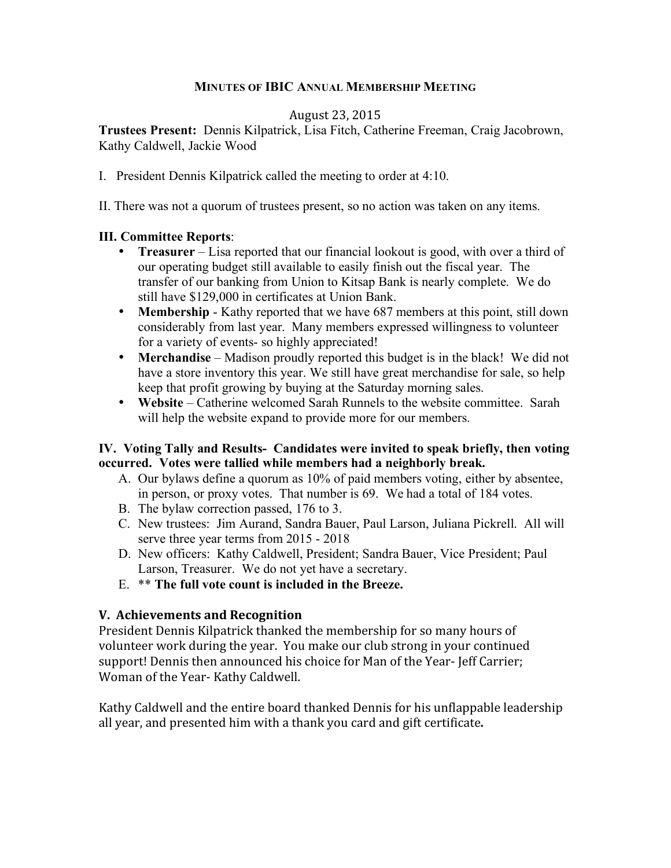# **MINUTES OF IBIC ANNUAL MEMBERSHIP MEETING**

## August
23,
2015

**Trustees Present:** Dennis Kilpatrick, Lisa Fitch, Catherine Freeman, Craig Jacobrown, Kathy Caldwell, Jackie Wood

I. President Dennis Kilpatrick called the meeting to order at 4:10.

II. There was not a quorum of trustees present, so no action was taken on any items.

## **III. Committee Reports**:

- **Treasurer** Lisa reported that our financial lookout is good, with over a third of our operating budget still available to easily finish out the fiscal year. The transfer of our banking from Union to Kitsap Bank is nearly complete. We do still have \$129,000 in certificates at Union Bank.
- **Membership** Kathy reported that we have 687 members at this point, still down considerably from last year. Many members expressed willingness to volunteer for a variety of events- so highly appreciated!
- **Merchandise** Madison proudly reported this budget is in the black! We did not have a store inventory this year. We still have great merchandise for sale, so help keep that profit growing by buying at the Saturday morning sales.
- **Website** Catherine welcomed Sarah Runnels to the website committee. Sarah will help the website expand to provide more for our members.

## **IV. Voting Tally and Results- Candidates were invited to speak briefly, then voting occurred. Votes were tallied while members had a neighborly break.**

- A. Our bylaws define a quorum as 10% of paid members voting, either by absentee, in person, or proxy votes. That number is 69. We had a total of 184 votes.
- B. The bylaw correction passed, 176 to 3.
- C. New trustees: Jim Aurand, Sandra Bauer, Paul Larson, Juliana Pickrell. All will serve three year terms from 2015 - 2018
- D. New officers: Kathy Caldwell, President; Sandra Bauer, Vice President; Paul Larson, Treasurer. We do not yet have a secretary.
- E. \*\* **The full vote count is included in the Breeze.**

# **V.

Achievements
and
Recognition**

President
Dennis
Kilpatrick
thanked
the
membership
for
so
many
hours
of volunteer work during the year. You make our club strong in your continued support!
Dennis
then
announced
his
choice
for
Man
of
the
Year‐
Jeff
Carrier; Woman
of
the
Year‐
Kathy
Caldwell.

Kathy
Caldwell
and
the
entire
board
thanked
Dennis
for
his
unflappable
leadership all
year,
and
presented
him
with
a
thank
you
card
and
gift
certificate**.**